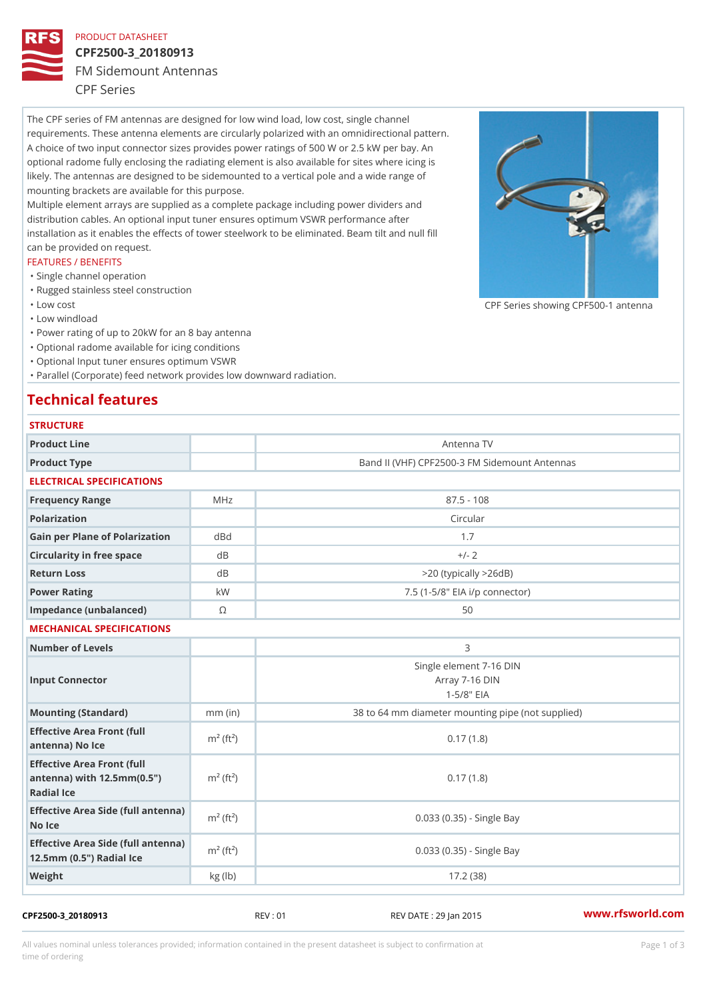## PRODUCT DATASHEET

# CPF2500-3\_20180913

FM Sidemount Antennas

CPF Series

The CPF series of FM antennas are designed for low wind load, low cost, single channel requirements. These antenna elements are circularly polarized with an omnidirectional pattern. A choice of two input connector sizes provides power ratings of 500 W or 2.5 kW per bay. An optional radome fully enclosing the radiating element is also available for sites where icing is likely. The antennas are designed to be sidemounted to a vertical pole and a wide range of mounting brackets are available for this purpose. Multiple element arrays are supplied as a complete package including power dividers and distribution cables. An optional input tuner ensures optimum VSWR performance after

installation as it enables the effects of tower steelwork to be eliminated. Beam tilt and null fill can be provided on request.

### FEATURES / BENEFITS

- "Single channel operation
- "Rugged stainless steel construction
- "Low cost

"Low windload

"Power rating of up to 20kW for an 8 bay antenna

- "Optional radome available for icing conditions
- "Optional Input tuner ensures optimum VSWR

"Parallel (Corporate) feed network provides low downward radiation.

# Technical features

| <b>STRUCTURE</b>                                                                                     |                       |                                                              |  |
|------------------------------------------------------------------------------------------------------|-----------------------|--------------------------------------------------------------|--|
| Product Line                                                                                         |                       | Antenna TV                                                   |  |
| Product Type                                                                                         |                       | Band II (VHF) CPF2500-3 FM Sidemount Antennas                |  |
| ELECTRICAL SPECIFICATIONS                                                                            |                       |                                                              |  |
| Frequency Range                                                                                      | MHz                   | $87.5 - 108$                                                 |  |
| Polarization                                                                                         |                       | Circular                                                     |  |
| Gain per Plane of Polarizat doBnd                                                                    |                       | 1.7                                                          |  |
| Circularity in free space                                                                            | $d$ B                 | $+/- 2$                                                      |  |
| Return Loss                                                                                          | $d$ B                 | $> 20$ (typically $> 26dB$ )                                 |  |
| Power Rating                                                                                         | k W                   | 7.5 (1-5/8" EIA i/p connector)                               |  |
| Impedance (unbalanced)                                                                               | $\odot$               | 50                                                           |  |
| MECHANICAL SPECIFICATIONS                                                                            |                       |                                                              |  |
| Number of Levels                                                                                     |                       | 3                                                            |  |
| Input Connector                                                                                      |                       | Single element 7-16 DIN<br>Array 7-16 DIN<br>$1 - 5/8$ $EIA$ |  |
| Mounting (Standard)                                                                                  | $mm$ (in)             | 38 to 64 mm diameter mounting pipe (not supplied)            |  |
| Effective Area Front (full<br>antenna) No Ice                                                        | $m2$ (ft <sup>2</sup> | 0.17(1.8)                                                    |  |
| Effective Area Front (full<br>antenna) with $12.5$ mm $(0.5$ " $m2$ (ft <sup>2</sup> )<br>Radial Ice |                       | 0.17(1.8)                                                    |  |
| Effective Area Side (full antenna)<br>No Ice                                                         |                       | 0.033 (0.35) - Single Bay                                    |  |
| Effective Area Side (full antenna)<br>12.5mm (0.5") Radial Ice                                       |                       | 0.033 (0.35) - Single Bay                                    |  |
| Weight                                                                                               | kg (lb)               | 17.2(38)                                                     |  |

CPF2500-3\_20180913 REV : 01 REV DATE : 29 Jan 2015 [www.](https://www.rfsworld.com)rfsworld.com

CPF Series showing CPF500-1 and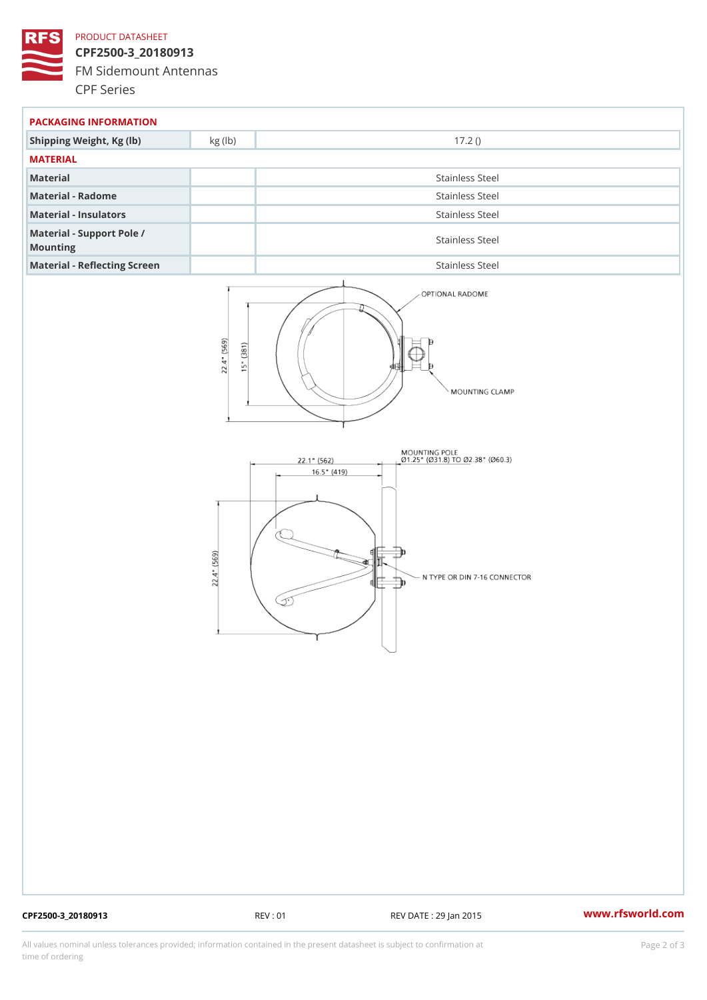## PRODUCT DATASHEET

CPF2500-3\_20180913 FM Sidemount Antennas CPF Series

| PACKAGING INFORMATION                 |                 |  |  |
|---------------------------------------|-----------------|--|--|
| Shipping Weight, Kg (lb) kg (lb)      | 17.2()          |  |  |
| MATERIAL                              |                 |  |  |
| Material                              | Stainless Steel |  |  |
| Material - Radome                     | Stainless Steel |  |  |
| Material - Insulators                 | Stainless Steel |  |  |
| Material - Support Pole /<br>Mounting | Stainless Steel |  |  |
| Material - Reflecting Screen          | Stainless Steel |  |  |

CPF2500-3\_20180913 REV : 01 REV DATE : 29 Jan 2015 [www.](https://www.rfsworld.com)rfsworld.com